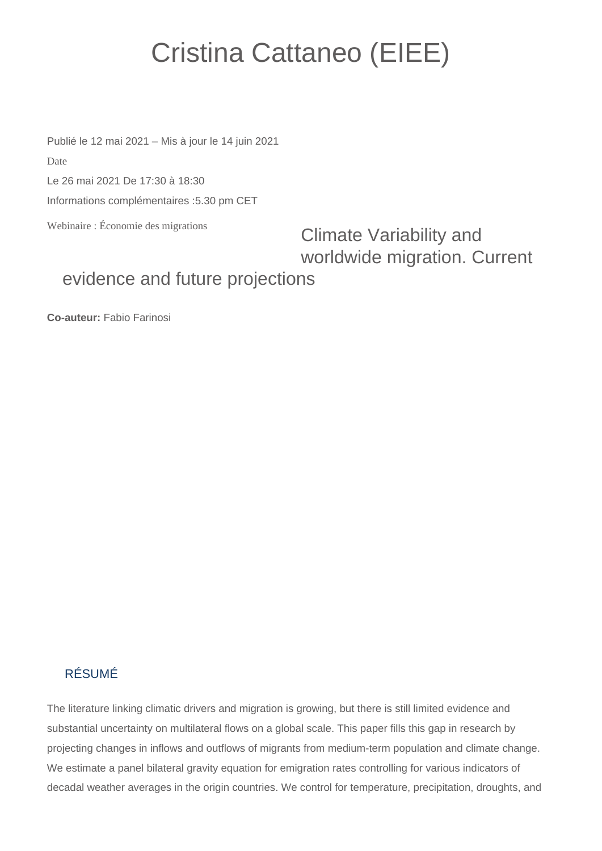## Cristina Cattaneo (EIEE)

Publié le 12 mai 2021 – Mis à jour le 14 juin 2021 Date

Le 26 mai 2021 De 17:30 à 18:30

Informations complémentaires :5.30 pm CET

Webinaire : Économie des migrations

Climate Variability and worldwide migration. Current

## evidence and future projections

**Co-auteur:** Fabio Farinosi

## RÉSUMÉ

The literature linking climatic drivers and migration is growing, but there is still limited evidence and substantial uncertainty on multilateral flows on a global scale. This paper fills this gap in research by projecting changes in inflows and outflows of migrants from medium-term population and climate change. We estimate a panel bilateral gravity equation for emigration rates controlling for various indicators of decadal weather averages in the origin countries. We control for temperature, precipitation, droughts, and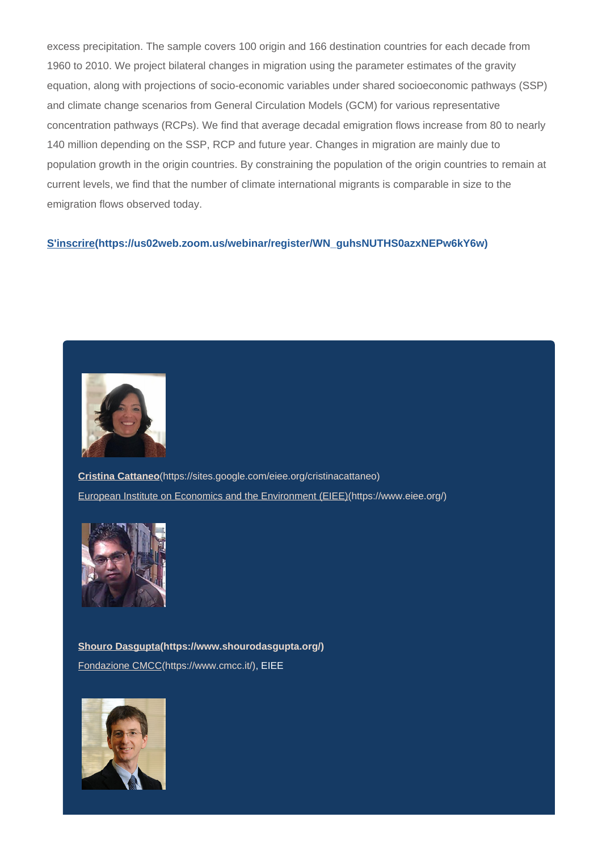excess precipitation. The sample covers 100 origin and 166 destination countries for each decade from 1960 to 2010. We project bilateral changes in migration using the parameter estimates of the gravity equation, along with projections of socio-economic variables under shared socioeconomic pathways (SSP) and climate change scenarios from General Circulation Models (GCM) for various representative concentration pathways (RCPs). We find that average decadal emigration flows increase from 80 to nearly 140 million depending on the SSP, RCP and future year. Changes in migration are mainly due to population growth in the origin countries. By constraining the population of the origin countries to remain at current levels, we find that the number of climate international migrants is comparable in size to the emigration flows observed today.

## **[S'inscrire\(https://us02web.zoom.us/webinar/register/WN\\_guhsNUTHS0azxNEPw6kY6w\)](https://us02web.zoom.us/webinar/register/WN_guhsNUTHS0azxNEPw6kY6w)**



**Cristina Cattaneo**[\(https://sites.google.com/eiee.org/cristinacattaneo\)](https://sites.google.com/eiee.org/cristinacattaneo) [European Institute on Economics and the Environment \(EIEE\)\(https://www.eiee.org/\)](https://www.eiee.org/)



**[Shouro Dasgupta\(https://www.shourodasgupta.org/\)](https://www.shourodasgupta.org/)** [Fondazione CMCC\(https://www.cmcc.it/\),](https://www.cmcc.it/) EIEE